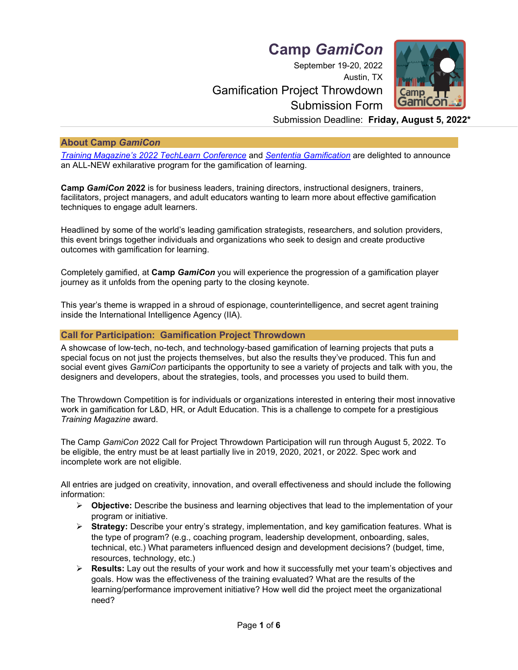**Camp** *GamiCon*

September 19-20, 2022

# Austin, TX Gamification Project Throwdown Submission Form



Submission Deadline: **Friday, August 5, 2022\***

## **About Camp** *GamiCon*

*[Training Magazine's 202](https://techlearnconference.com/2019/index.cfm)2 TechLearn Conference* and *[Sententia Gamification](http://www.sententiagamification.com/)* are delighted to announce an ALL-NEW exhilarative program for the gamification of learning.

**Camp** *GamiCon* **2022** is for business leaders, training directors, instructional designers, trainers, facilitators, project managers, and adult educators wanting to learn more about effective gamification techniques to engage adult learners.

Headlined by some of the world's leading gamification strategists, researchers, and solution providers, this event brings together individuals and organizations who seek to design and create productive outcomes with gamification for learning.

Completely gamified, at **Camp** *GamiCon* you will experience the progression of a gamification player journey as it unfolds from the opening party to the closing keynote.

This year's theme is wrapped in a shroud of espionage, counterintelligence, and secret agent training inside the International Intelligence Agency (IIA).

## **Call for Participation: Gamification Project Throwdown**

A showcase of low-tech, no-tech, and technology-based gamification of learning projects that puts a special focus on not just the projects themselves, but also the results they've produced. This fun and social event gives *GamiCon* participants the opportunity to see a variety of projects and talk with you, the designers and developers, about the strategies, tools, and processes you used to build them.

The Throwdown Competition is for individuals or organizations interested in entering their most innovative work in gamification for L&D, HR, or Adult Education. This is a challenge to compete for a prestigious *Training Magazine* award.

The Camp *GamiCon* 2022 Call for Project Throwdown Participation will run through August 5, 2022. To be eligible, the entry must be at least partially live in 2019, 2020, 2021, or 2022. Spec work and incomplete work are not eligible.

All entries are judged on creativity, innovation, and overall effectiveness and should include the following information:

- ➢ **Objective:** Describe the business and learning objectives that lead to the implementation of your program or initiative.
- ➢ **Strategy:** Describe your entry's strategy, implementation, and key gamification features. What is the type of program? (e.g., coaching program, leadership development, onboarding, sales, technical, etc.) What parameters influenced design and development decisions? (budget, time, resources, technology, etc.)
- ➢ **Results:** Lay out the results of your work and how it successfully met your team's objectives and goals. How was the effectiveness of the training evaluated? What are the results of the learning/performance improvement initiative? How well did the project meet the organizational need?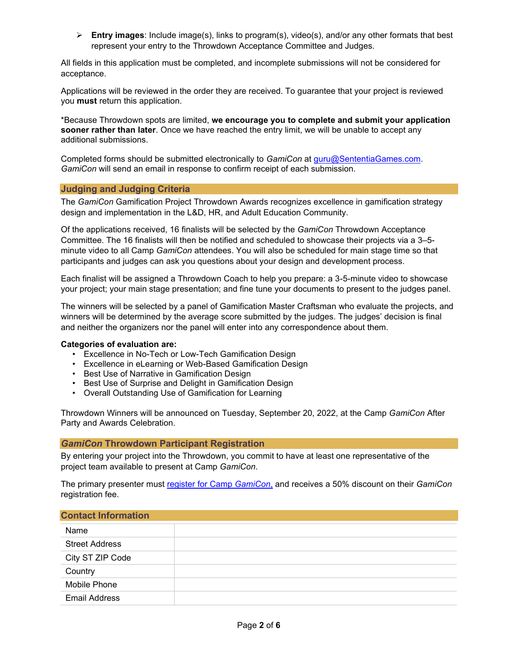➢ **Entry images**: Include image(s), links to program(s), video(s), and/or any other formats that best represent your entry to the Throwdown Acceptance Committee and Judges.

All fields in this application must be completed, and incomplete submissions will not be considered for acceptance.

Applications will be reviewed in the order they are received. To guarantee that your project is reviewed you **must** return this application.

\*Because Throwdown spots are limited, **we encourage you to complete and submit your application sooner rather than later**. Once we have reached the entry limit, we will be unable to accept any additional submissions.

Completed forms should be submitted electronically to *GamiCon* at [guru@SententiaGames.com.](mailto:guru@SententiaGames.com) *GamiCon* will send an email in response to confirm receipt of each submission.

#### **Judging and Judging Criteria**

The *GamiCon* Gamification Project Throwdown Awards recognizes excellence in gamification strategy design and implementation in the L&D, HR, and Adult Education Community.

Of the applications received, 16 finalists will be selected by the *GamiCon* Throwdown Acceptance Committee. The 16 finalists will then be notified and scheduled to showcase their projects via a 3–5 minute video to all Camp *GamiCon* attendees. You will also be scheduled for main stage time so that participants and judges can ask you questions about your design and development process.

Each finalist will be assigned a Throwdown Coach to help you prepare: a 3-5-minute video to showcase your project; your main stage presentation; and fine tune your documents to present to the judges panel.

The winners will be selected by a panel of Gamification Master Craftsman who evaluate the projects, and winners will be determined by the average score submitted by the judges. The judges' decision is final and neither the organizers nor the panel will enter into any correspondence about them.

## **Categories of evaluation are:**

- Excellence in No-Tech or Low-Tech Gamification Design
- Excellence in eLearning or Web-Based Gamification Design
- Best Use of Narrative in Gamification Design
- Best Use of Surprise and Delight in Gamification Design
- Overall Outstanding Use of Gamification for Learning

Throwdown Winners will be announced on Tuesday, September 20, 2022, at the Camp *GamiCon* After Party and Awards Celebration.

## *GamiCon* **Throwdown Participant Registration**

By entering your project into the Throwdown, you commit to have at least one representative of the project team available to present at Camp *GamiCon*.

The primary presenter must [register for Camp](https://gamicon.us/) *GamiCon*, and receives a 50% discount on their *GamiCon* registration fee.

#### **Contact Information**

| Name                  |  |
|-----------------------|--|
| <b>Street Address</b> |  |
| City ST ZIP Code      |  |
| Country               |  |
| Mobile Phone          |  |
| Email Address         |  |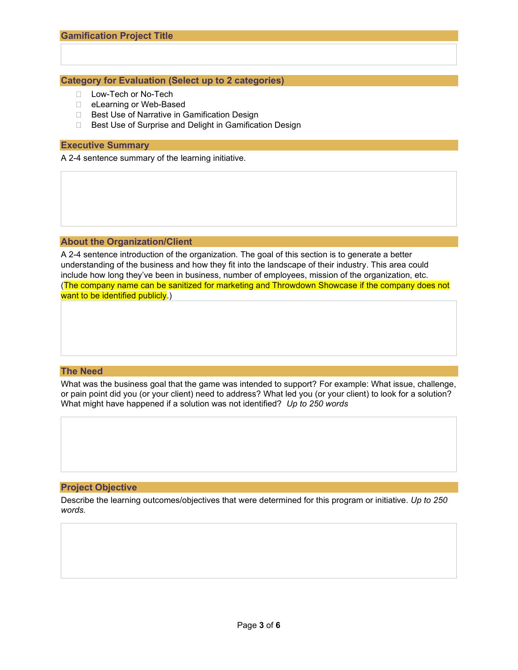## **Category for Evaluation (Select up to 2 categories)**

- D Low-Tech or No-Tech
- □ eLearning or Web-Based
- □ Best Use of Narrative in Gamification Design
- □ Best Use of Surprise and Delight in Gamification Design

#### **Executive Summary**

A 2-4 sentence summary of the learning initiative.

#### **About the Organization/Client**

A 2-4 sentence introduction of the organization. The goal of this section is to generate a better understanding of the business and how they fit into the landscape of their industry. This area could include how long they've been in business, number of employees, mission of the organization, etc. (The company name can be sanitized for marketing and Throwdown Showcase if the company does not want to be identified publicly.)

#### **The Need**

What was the business goal that the game was intended to support? For example: What issue, challenge, or pain point did you (or your client) need to address? What led you (or your client) to look for a solution? What might have happened if a solution was not identified? *Up to 250 words*

#### **Project Objective**

Describe the learning outcomes/objectives that were determined for this program or initiative. *Up to 250 words.*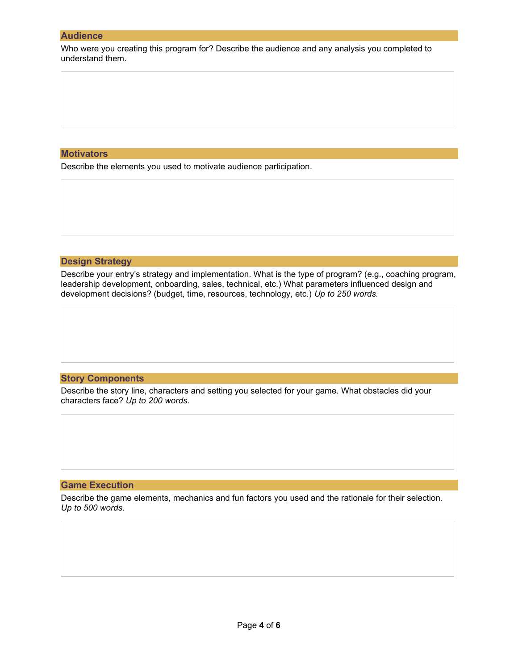#### **Audience**

Who were you creating this program for? Describe the audience and any analysis you completed to understand them.

## **Motivators**

Describe the elements you used to motivate audience participation.

### **Design Strategy**

Describe your entry's strategy and implementation. What is the type of program? (e.g., coaching program, leadership development, onboarding, sales, technical, etc.) What parameters influenced design and development decisions? (budget, time, resources, technology, etc.) *Up to 250 words.*

# **Story Components**

Describe the story line, characters and setting you selected for your game. What obstacles did your characters face? *Up to 200 words.* The complete state of the characters face? Up to 200 *words.* 

parameters influenced design and development decisions? (budget, time, resources, technology, etc.)

## **Game Execution**

Describe the game elements, mechanics and fun factors you used and the rationale for their selection. program? (e.g., coaching program, leadership development, onboarding, sales, technical, etc.) What *Up to 500 words.*

parameters influenced design and development decisions? (budget, time, resources, technology, etc.)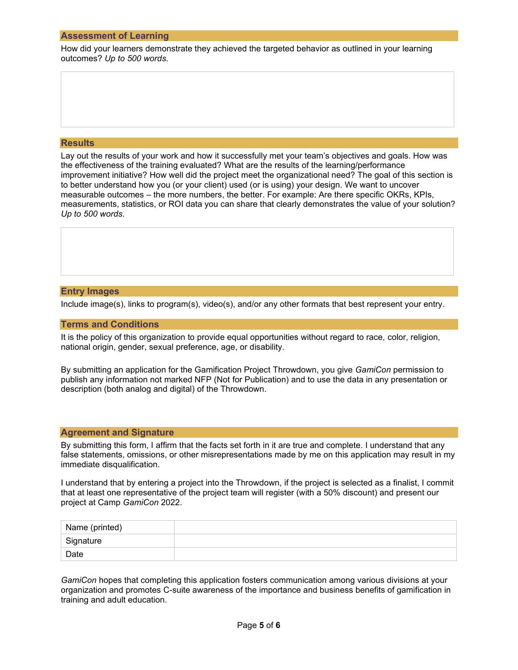### **Assessment of Learning**

How did your learners demonstrate they achieved the targeted behavior as outlined in your learning outcomes? *Up to 500 words.*

# **Results**

Lay out the results of your work and how it successfully met your team's objectives and goals. How was the effectiveness of the training evaluated? What are the results of the learning/performance improvement initiative? How well did the project meet the organizational need? The goal of this section is *Up to 500 words.* to better understand how you (or your client) used (or is using) your design. We want to uncover measurable outcomes – the more numbers, the better. For example: Are there specific OKRs, KPIs, measurements, statistics, or ROI data you can share that clearly demonstrates the value of your solution? *Up to 500 words*.

## **Entry Images**

Include image(s), links to program(s), video(s), and/or any other formats that best represent your entry.

#### **Terms and Conditions**

It is the policy of this organization to provide equal opportunities without regard to race, color, religion, national origin, gender, sexual preference, age, or disability.

By submitting an application for the Gamification Project Throwdown, you give *GamiCon* permission to publish any information not marked NFP (Not for Publication) and to use the data in any presentation or description (both analog and digital) of the Throwdown.

#### **Agreement and Signature**

By submitting this form, I affirm that the facts set forth in it are true and complete. I understand that any false statements, omissions, or other misrepresentations made by me on this application may result in my immediate disqualification.

I understand that by entering a project into the Throwdown, if the project is selected as a finalist, I commit that at least one representative of the project team will register (with a 50% discount) and present our project at Camp *GamiCon* 2022.

| Name (printed) |  |
|----------------|--|
| Signature      |  |
| Date           |  |

*GamiCon* hopes that completing this application fosters communication among various divisions at your organization and promotes C-suite awareness of the importance and business benefits of gamification in training and adult education.